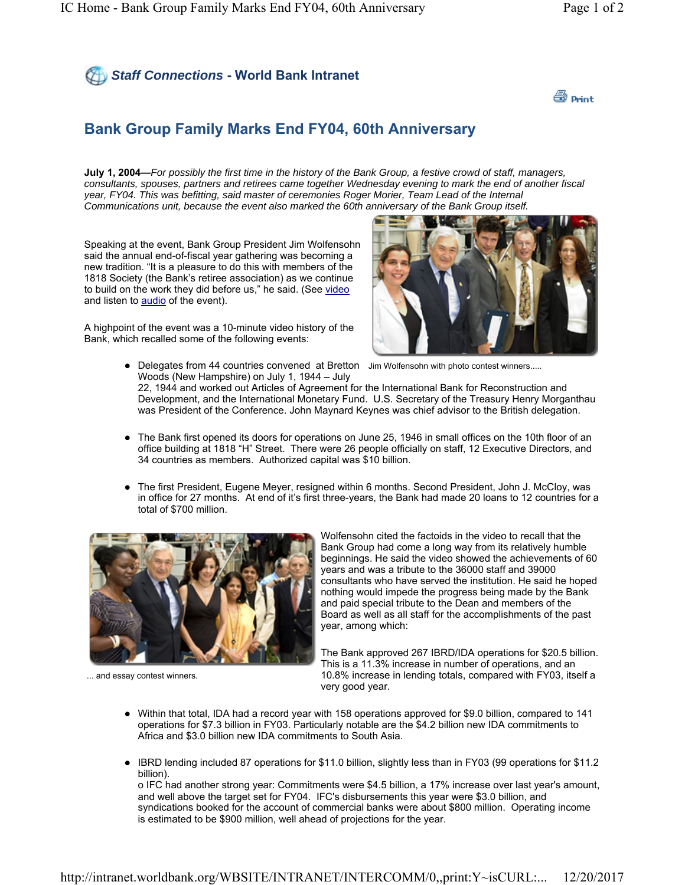



## **Bank Group Family Marks End FY04, 60th Anniversary**

**July 1, 2004—***For possibly the first time in the history of the Bank Group, a festive crowd of staff, managers, consultants, spouses, partners and retirees came together Wednesday evening to mark the end of another fiscal year, FY04. This was befitting, said master of ceremonies Roger Morier, Team Lead of the Internal Communications unit, because the event also marked the 60th anniversary of the Bank Group itself.*

Speaking at the event, Bank Group President Jim Wolfensohn said the annual end-of-fiscal year gathering was becoming a new tradition. "It is a pleasure to do this with members of the 1818 Society (the Bank's retiree association) as we continue to build on the work they did before us," he said. (See video and listen to audio of the event).

A highpoint of the event was a 10-minute video history of the Bank, which recalled some of the following events:



• Delegates from 44 countries convened at Bretton Jim Wolfensohn with photo contest winners..... Woods (New Hampshire) on July 1, 1944 – July

22, 1944 and worked out Articles of Agreement for the International Bank for Reconstruction and Development, and the International Monetary Fund. U.S. Secretary of the Treasury Henry Morganthau was President of the Conference. John Maynard Keynes was chief advisor to the British delegation.

- The Bank first opened its doors for operations on June 25, 1946 in small offices on the 10th floor of an office building at 1818 "H" Street. There were 26 people officially on staff, 12 Executive Directors, and 34 countries as members. Authorized capital was \$10 billion.
- The first President, Eugene Meyer, resigned within 6 months. Second President, John J. McCloy, was in office for 27 months. At end of it's first three-years, the Bank had made 20 loans to 12 countries for a total of \$700 million.



... and essay contest winners.

Wolfensohn cited the factoids in the video to recall that the Bank Group had come a long way from its relatively humble beginnings. He said the video showed the achievements of 60 years and was a tribute to the 36000 staff and 39000 consultants who have served the institution. He said he hoped nothing would impede the progress being made by the Bank and paid special tribute to the Dean and members of the Board as well as all staff for the accomplishments of the past year, among which:

 The Bank approved 267 IBRD/IDA operations for \$20.5 billion. This is a 11.3% increase in number of operations, and an 10.8% increase in lending totals, compared with FY03, itself a very good year.

- Within that total, IDA had a record year with 158 operations approved for \$9.0 billion, compared to 141 operations for \$7.3 billion in FY03. Particularly notable are the \$4.2 billion new IDA commitments to Africa and \$3.0 billion new IDA commitments to South Asia.
- IBRD lending included 87 operations for \$11.0 billion, slightly less than in FY03 (99 operations for \$11.2 billion).

o IFC had another strong year: Commitments were \$4.5 billion, a 17% increase over last year's amount, and well above the target set for FY04. IFC's disbursements this year were \$3.0 billion, and syndications booked for the account of commercial banks were about \$800 million. Operating income is estimated to be \$900 million, well ahead of projections for the year.